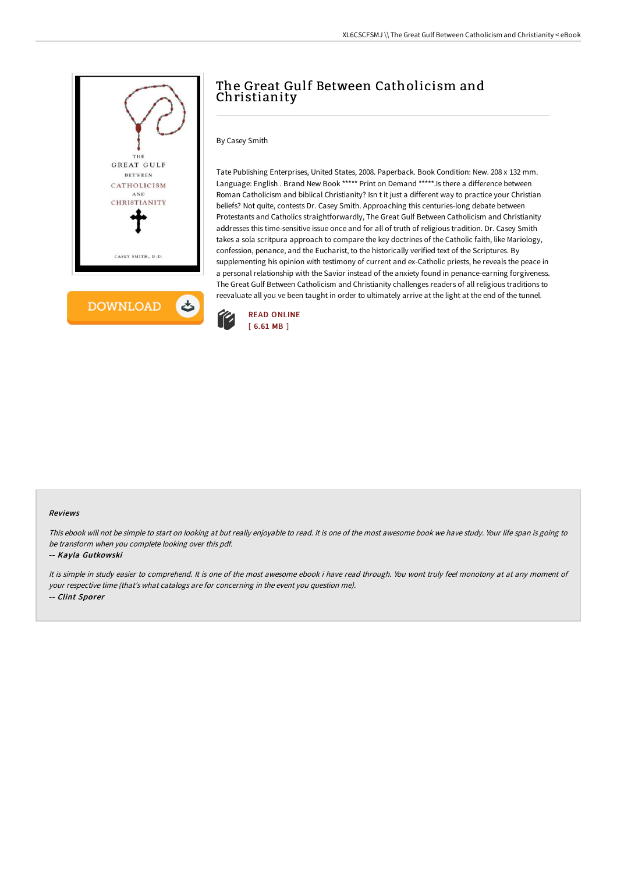



# The Great Gulf Between Catholicism and Christianity

By Casey Smith

Tate Publishing Enterprises, United States, 2008. Paperback. Book Condition: New. 208 x 132 mm. Language: English . Brand New Book \*\*\*\*\* Print on Demand \*\*\*\*\*. Is there a difference between Roman Catholicism and biblical Christianity? Isn t it just a different way to practice your Christian beliefs? Not quite, contests Dr. Casey Smith. Approaching this centuries-long debate between Protestants and Catholics straightforwardly, The Great Gulf Between Catholicism and Christianity addresses this time-sensitive issue once and for all of truth of religious tradition. Dr. Casey Smith takes a sola scritpura approach to compare the key doctrines of the Catholic faith, like Mariology, confession, penance, and the Eucharist, to the historically verified text of the Scriptures. By supplementing his opinion with testimony of current and ex-Catholic priests, he reveals the peace in a personal relationship with the Savior instead of the anxiety found in penance-earning forgiveness. The Great Gulf Between Catholicism and Christianity challenges readers of all religious traditions to reevaluate all you ve been taught in order to ultimately arrive at the light at the end of the tunnel.



#### Reviews

This ebook will not be simple to start on looking at but really enjoyable to read. It is one of the most awesome book we have study. Your life span is going to be transform when you complete looking over this pdf.

#### -- Kayla Gutkowski

It is simple in study easier to comprehend. It is one of the most awesome ebook i have read through. You wont truly feel monotony at at any moment of your respective time (that's what catalogs are for concerning in the event you question me). -- Clint Sporer